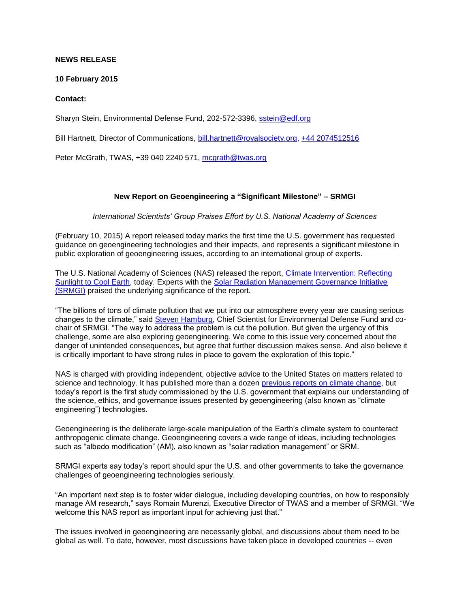## **NEWS RELEASE**

## **10 February 2015**

## **Contact:**

Sharyn Stein, Environmental Defense Fund, 202-572-3396, [sstein@edf.org](mailto:sstein@edf.org)

Bill Hartnett, Director of Communications, [bill.hartnett@royalsociety.org,](mailto:bill.hartnett@royalsociety.org) [+44 2074512516](tel:+44%202074512516)

Peter McGrath, TWAS, +39 040 2240 571, [mcgrath@twas.org](mailto:mcgrath@twas.org)

## **New Report on Geoengineering a "Significant Milestone" – SRMGI**

*International Scientists' Group Praises Effort by U.S. National Academy of Sciences*

(February 10, 2015) A report released today marks the first time the U.S. government has requested guidance on geoengineering technologies and their impacts, and represents a significant milestone in public exploration of geoengineering issues, according to an international group of experts.

The U.S. National Academy of Sciences (NAS) released the report, [Climate Intervention: Reflecting](http://www.nap.edu/catalog/18988/climate-intervention-reflecting-sunlight-to-cool-earth)  [Sunlight to Cool Earth,](http://www.nap.edu/catalog/18988/climate-intervention-reflecting-sunlight-to-cool-earth) today. Experts with the [Solar Radiation Management Governance Initiative](http://www.srmgi.org/)  [\(SRMGI\)](http://www.srmgi.org/) praised the underlying significance of the report.

"The billions of tons of climate pollution that we put into our atmosphere every year are causing serious changes to the climate," said [Steven Hamburg,](http://www.edf.org/people/steven-hamburg) Chief Scientist for Environmental Defense Fund and cochair of SRMGI. "The way to address the problem is cut the pollution. But given the urgency of this challenge, some are also exploring geoengineering. We come to this issue very concerned about the danger of unintended consequences, but agree that further discussion makes sense. And also believe it is critically important to have strong rules in place to govern the exploration of this topic."

NAS is charged with providing independent, objective advice to the United States on matters related to science and technology. It has published more than a dozen [previous reports on climate change,](http://nas-sites.org/americasclimatechoices/other-reports-on-climate-change/) but today's report is the first study commissioned by the U.S. government that explains our understanding of the science, ethics, and governance issues presented by geoengineering (also known as "climate engineering") technologies.

Geoengineering is the deliberate large-scale manipulation of the Earth's climate system to counteract anthropogenic climate change. Geoengineering covers a wide range of ideas, including technologies such as "albedo modification" (AM), also known as "solar radiation management" or SRM.

SRMGI experts say today's report should spur the U.S. and other governments to take the governance challenges of geoengineering technologies seriously.

"An important next step is to foster wider dialogue, including developing countries, on how to responsibly manage AM research," says Romain Murenzi, Executive Director of TWAS and a member of SRMGI. "We welcome this NAS report as important input for achieving just that."

The issues involved in geoengineering are necessarily global, and discussions about them need to be global as well. To date, however, most discussions have taken place in developed countries -- even